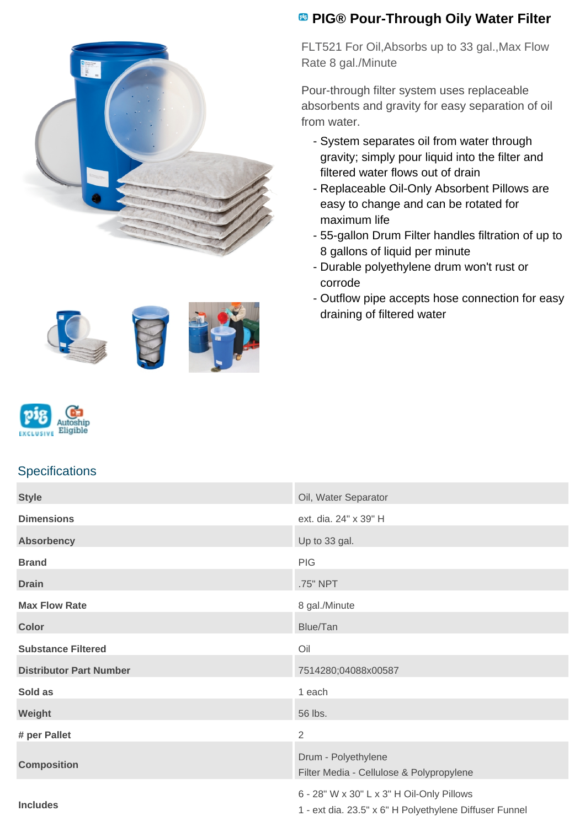

## **PIG® Pour-Through Oily Water Filter**

FLT521 For Oil,Absorbs up to 33 gal.,Max Flow Rate 8 gal./Minute

Pour-through filter system uses replaceable absorbents and gravity for easy separation of oil from water.

- System separates oil from water through gravity; simply pour liquid into the filter and filtered water flows out of drain
- Replaceable Oil-Only Absorbent Pillows are easy to change and can be rotated for maximum life
- 55-gallon Drum Filter handles filtration of up to 8 gallons of liquid per minute
- Durable polyethylene drum won't rust or corrode
- Outflow pipe accepts hose connection for easy draining of filtered water









## **Specifications**

| <b>Style</b>                   | Oil, Water Separator                                                                                |
|--------------------------------|-----------------------------------------------------------------------------------------------------|
| <b>Dimensions</b>              | ext. dia. 24" x 39" H                                                                               |
| <b>Absorbency</b>              | Up to 33 gal.                                                                                       |
| <b>Brand</b>                   | <b>PIG</b>                                                                                          |
| <b>Drain</b>                   | .75" NPT                                                                                            |
| <b>Max Flow Rate</b>           | 8 gal./Minute                                                                                       |
| <b>Color</b>                   | Blue/Tan                                                                                            |
| <b>Substance Filtered</b>      | Oil                                                                                                 |
| <b>Distributor Part Number</b> | 7514280;04088x00587                                                                                 |
| Sold as                        | 1 each                                                                                              |
| Weight                         | 56 lbs.                                                                                             |
| # per Pallet                   | $\overline{2}$                                                                                      |
| <b>Composition</b>             | Drum - Polyethylene<br>Filter Media - Cellulose & Polypropylene                                     |
| <b>Includes</b>                | 6 - 28" W x 30" L x 3" H Oil-Only Pillows<br>1 - ext dia. 23.5" x 6" H Polyethylene Diffuser Funnel |